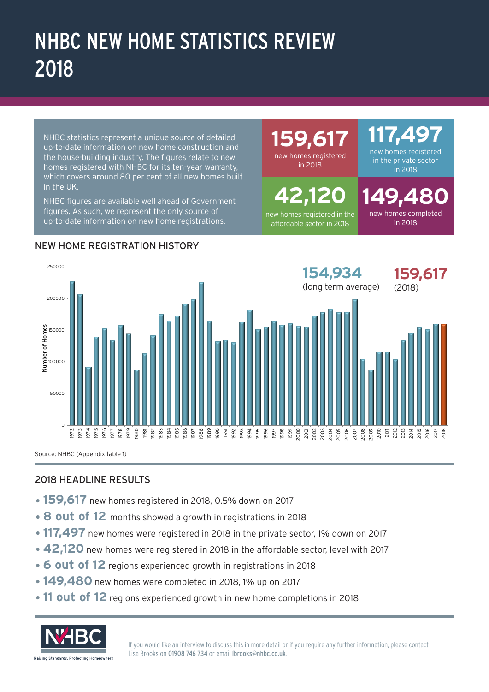# NHBC NEW HOME STATISTICS REVIEW 2018

NHBC statistics represent a unique source of detailed up-to-date information on new home construction and the house-building industry. The figures relate to new homes registered with NHBC for its ten-year warranty, which covers around 80 per cent of all new homes built in the UK.

NHBC figures are available well ahead of Government figures. As such, we represent the only source of up-to-date information on new home registrations.

**9.6** new homes registered

in 2018

**42,120**  new homes registered in the affordable sector in 2018

# **117,497**

new homes registered in the private sector in 2018

**9.4** new homes completed in 2018



NEW HOME REGISTRATION HISTORY

Source: NHBC (Appendix table 1)

### 2018 HEADLINE RESULTS

- •**159,617** new homes registered in 2018, 0.5% down on 2017
- **8 out of 12** months showed a growth in registrations in 2018
- •**117,497** new homes were registered in 2018 in the private sector, 1% down on 2017
- **42,120** new homes were registered in 2018 in the affordable sector, level with 2017
- **6 out of 12** regions experienced growth in registrations in 2018
- •**149,480** new homes were completed in 2018, 1% up on 2017
- •**11 out of 12** regions experienced growth in new home completions in 2018



If you would like an interview to discuss this in more detail or if you require any further information, please contact Lisa Brooks on 01908 746 734 or email lbrooks@nhbc.co.uk.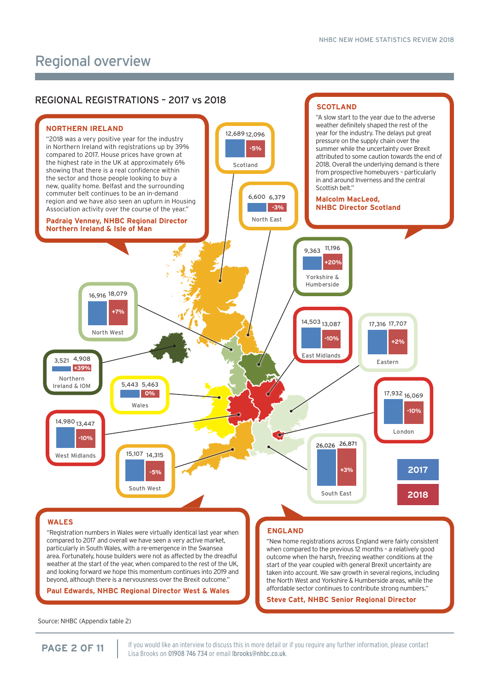### Regional overview



"Registration numbers in Wales were virtually identical last year when compared to 2017 and overall we have seen a very active market, particularly in South Wales, with a re-emergence in the Swansea area. Fortunately, house builders were not as affected by the dreadful weather at the start of the year, when compared to the rest of the UK, and looking forward we hope this momentum continues into 2019 and beyond, although there is a nervousness over the Brexit outcome."

**Paul Edwards, NHBC Regional Director West & Wales**

#### **ENGLAND**

"New home registrations across England were fairly consistent when compared to the previous 12 months – a relatively good outcome when the harsh, freezing weather conditions at the start of the year coupled with general Brexit uncertainty are taken into account. We saw growth in several regions, including the North West and Yorkshire & Humberside areas, while the affordable sector continues to contribute strong numbers."

**Steve Catt, NHBC Senior Regional Director** 

Source: NHBC (Appendix table 2)

If you would like an interview to discuss this in more detail or if you require any further information, please contact **PAGE 2 OF 11** If you would like an interview to discuss this in more detail or<br>Lisa Brooks on 01908 746 734 or email (brooks@nhbc.co.uk.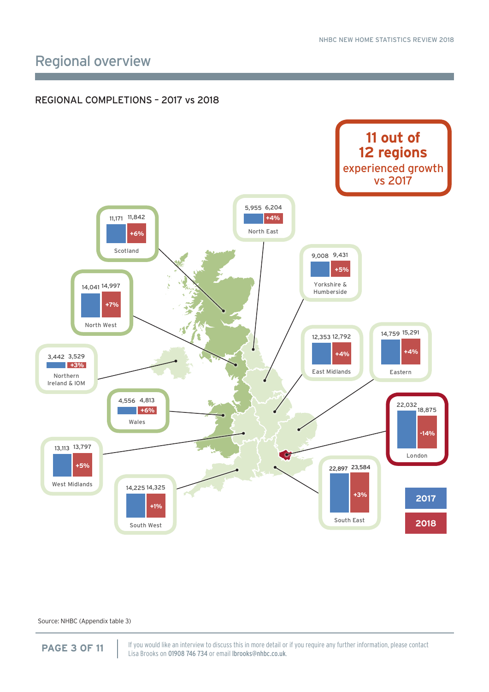### Regional overview

#### REGIONAL COMPLETIONS – 2017 vs 2018



Source: NHBC (Appendix table 3)

If you would like an interview to discuss this in more detail or if you require any further information, please contact **PAGE 3 OF 11** If you would like an interview to discuss this in more detail or<br>Lisa Brooks on 01908 746 734 or email Ibrooks@nhbc.co.uk.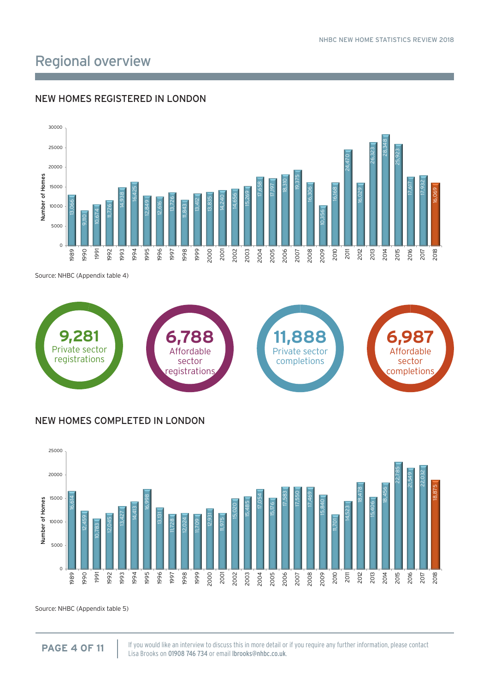### Regional overview

#### 19,375 16,306 10,356 16,168 24,470 16,029 26,323 28,348 25,923 17,617 17,932 16,069  $\circ$ 5000 10000 15000 20000 25000 30000 1989 1990 1991 1992 1993 1994 1995 1996 1997 1998 1999 2000 2001 2002 2003 2004 2005 2006 2007 2008 2009 2010 2011 2012 2013 2014 2015 2016 2017 2018 Number of Homes

#### NEW HOMES REGISTERED IN LONDON

Source: NHBC (Appendix table 4)



#### NEW HOMES COMPLETED IN LONDON



Source: NHBC (Appendix table 5)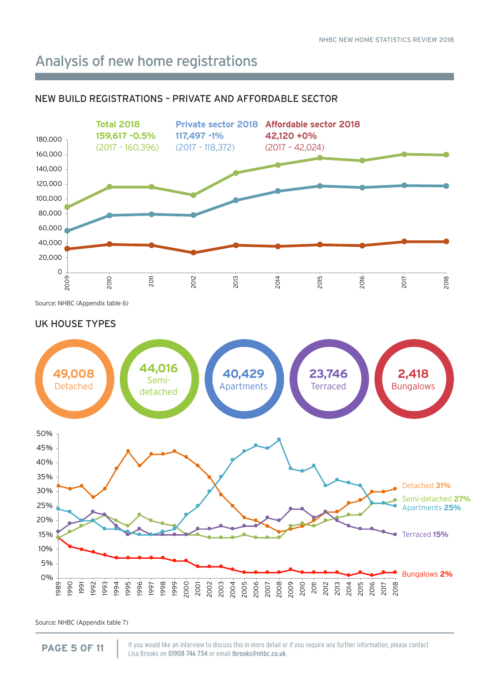### Analysis of new home registrations

#### NEW BUILD REGISTRATIONS – PRIVATE AND AFFORDABLE SECTOR



Source: NHBC (Appendix table 6)

#### UK HOUSE TYPES



Source: NHBC (Appendix table 7)

If you would like an interview to discuss this in more detail or if you require any further information, please contact **PAGE 5 OF 11** If you would like an interview to discuss this in more detail or<br>Lisa Brooks on 01908 746 734 or email Ibrooks@nhbc.co.uk.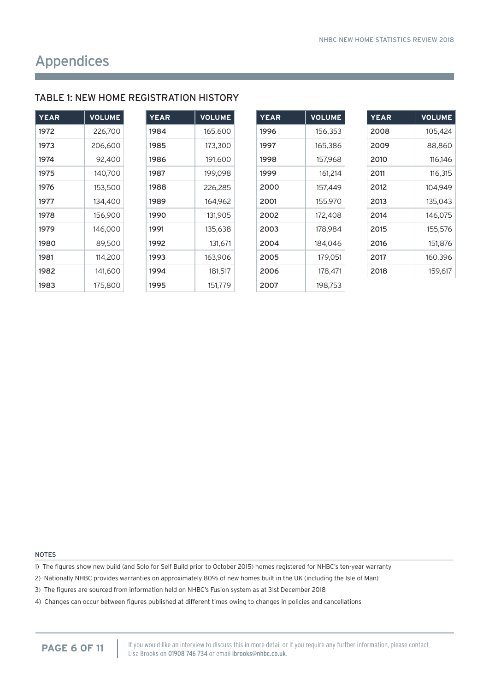### TABLE 1: NEW HOME REGISTRATION HISTORY

| <b>YEAR</b> | <b>VOLUME</b> |
|-------------|---------------|
| 1972        | 226.700       |
| 1973        | 206.600       |
| 1974        | 92.400        |
| 1975        | 140,700       |
| 1976        | 153,500       |
| 1977        | 134,400       |
| 1978        | 156,900       |
| 1979        | 146.000       |
| 1980        | 89,500        |
| 1981        | 114,200       |
| 1982        | 141.600       |
| 1983        | 175,800       |

| YEAR | <b>VOLUME</b> |
|------|---------------|
| 1984 | 165,600       |
| 1985 | 173,300       |
| 1986 | 191,600       |
| 1987 | 199.098       |
| 1988 | 226,285       |
| 1989 | 164,962       |
| 1990 | 131,905       |
| 1991 | 135,638       |
| 1992 | 131.671       |
| 1993 | 163,906       |
| 1994 | 181,517       |
| 1995 | 151,779       |

| <b>YEAR</b> | <b>VOLUME</b> |
|-------------|---------------|
| 1996        | 156.353       |
| 1997        | 165,386       |
| 1998        | 157.968       |
| 1999        | 161,214       |
| 2000        | 157,449       |
| 2001        | 155,970       |
| 2002        | 172,408       |
| 2003        | 178.984       |
| 2004        | 184.046       |
| 2005        | 179,051       |
| 2006        | 178,471       |
| 2007        | 198,753       |

| <b>YEAR</b> | <b>VOLUME</b> |
|-------------|---------------|
| 2008        | 105,424       |
| 2009        | 88,860        |
| 2010        | 116.146       |
| 2011        | 116.315       |
| 2012        | 104.949       |
| 2013        | 135,043       |
| 2014        | 146.075       |
| 2015        | 155,576       |
| 2016        | 151.876       |
| 2017        | 160,396       |
| 2018        | 159.617       |

NOTES

1) The figures show new build (and Solo for Self Build prior to October 2015) homes registered for NHBC's ten-year warranty

2) Nationally NHBC provides warranties on approximately 80% of new homes built in the UK (including the Isle of Man)

3) The figures are sourced from information held on NHBC's Fusion system as at 31st December 2018

4) Changes can occur between figures published at different times owing to changes in policies and cancellations

If you would like an interview to discuss this in more detail or if you require any further information, please contact **PAGE 6 OF 11** If you would like an interview to discuss this in more detail or<br>Lisa Brooks on 01908 746 734 or email Ibrooks@nhbc.co.uk.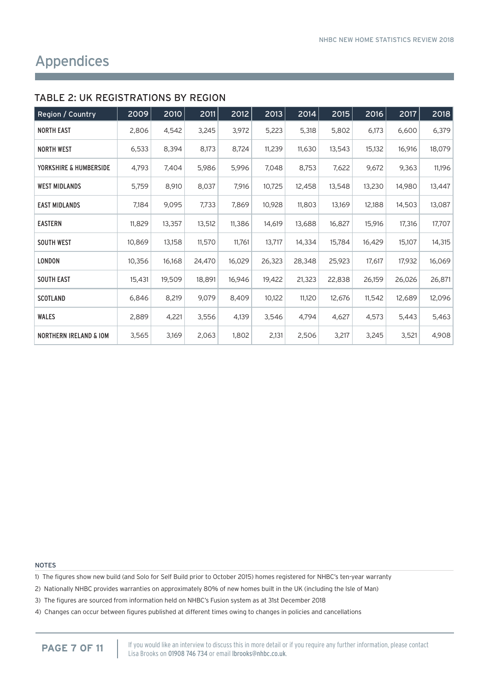#### TABLE 2: UK REGISTRATIONS BY REGION

| Region / Country                  | 2009   | 2010   | 2011   | 2012   | 2013   | 2014   | 2015   | 2016   | 2017   | 2018   |
|-----------------------------------|--------|--------|--------|--------|--------|--------|--------|--------|--------|--------|
| <b>NORTH EAST</b>                 | 2,806  | 4,542  | 3,245  | 3,972  | 5,223  | 5,318  | 5,802  | 6,173  | 6,600  | 6,379  |
| <b>NORTH WEST</b>                 | 6,533  | 8,394  | 8,173  | 8,724  | 11,239 | 11,630 | 13,543 | 15,132 | 16,916 | 18,079 |
| YORKSHIRE & HUMBERSIDE            | 4,793  | 7,404  | 5,986  | 5,996  | 7,048  | 8,753  | 7,622  | 9,672  | 9,363  | 11,196 |
| <b>WEST MIDLANDS</b>              | 5,759  | 8,910  | 8,037  | 7,916  | 10,725 | 12,458 | 13,548 | 13,230 | 14,980 | 13,447 |
| <b>EAST MIDLANDS</b>              | 7,184  | 9,095  | 7,733  | 7,869  | 10,928 | 11,803 | 13,169 | 12,188 | 14,503 | 13,087 |
| <b>EASTERN</b>                    | 11,829 | 13,357 | 13,512 | 11,386 | 14,619 | 13,688 | 16,827 | 15,916 | 17,316 | 17,707 |
| <b>SOUTH WEST</b>                 | 10,869 | 13,158 | 11,570 | 11,761 | 13,717 | 14,334 | 15,784 | 16,429 | 15,107 | 14,315 |
| <b>LONDON</b>                     | 10,356 | 16,168 | 24,470 | 16,029 | 26,323 | 28,348 | 25,923 | 17,617 | 17,932 | 16,069 |
| SOUTH EAST                        | 15,431 | 19,509 | 18,891 | 16,946 | 19,422 | 21,323 | 22,838 | 26,159 | 26,026 | 26,871 |
| <b>SCOTLAND</b>                   | 6,846  | 8,219  | 9,079  | 8,409  | 10,122 | 11,120 | 12,676 | 11,542 | 12,689 | 12,096 |
| <b>WALES</b>                      | 2,889  | 4,221  | 3,556  | 4,139  | 3,546  | 4,794  | 4,627  | 4,573  | 5,443  | 5,463  |
| <b>NORTHERN IRELAND &amp; IOM</b> | 3,565  | 3,169  | 2,063  | 1,802  | 2,131  | 2,506  | 3,217  | 3,245  | 3,521  | 4,908  |

NOTES

1) The figures show new build (and Solo for Self Build prior to October 2015) homes registered for NHBC's ten-year warranty

- 2) Nationally NHBC provides warranties on approximately 80% of new homes built in the UK (including the Isle of Man)
- 3) The figures are sourced from information held on NHBC's Fusion system as at 31st December 2018
- 4) Changes can occur between figures published at different times owing to changes in policies and cancellations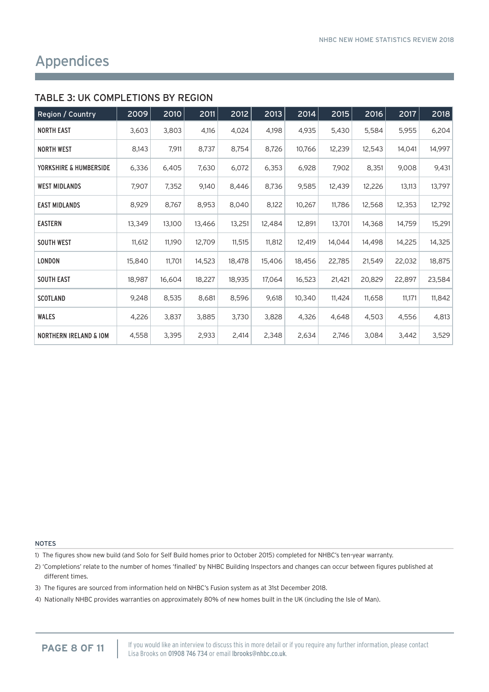#### TABLE 3: UK COMPLETIONS BY REGION

| Region / Country                  | 2009   | 2010   | 2011   | 2012   | 2013   | 2014   | 2015   | 2016   | 2017   | 2018   |
|-----------------------------------|--------|--------|--------|--------|--------|--------|--------|--------|--------|--------|
| <b>NORTH EAST</b>                 | 3,603  | 3,803  | 4,116  | 4,024  | 4,198  | 4,935  | 5,430  | 5,584  | 5,955  | 6,204  |
| <b>NORTH WEST</b>                 | 8,143  | 7,911  | 8,737  | 8,754  | 8,726  | 10,766 | 12,239 | 12,543 | 14,041 | 14,997 |
| YORKSHIRE & HUMBERSIDE            | 6,336  | 6,405  | 7,630  | 6,072  | 6,353  | 6,928  | 7,902  | 8,351  | 9,008  | 9,431  |
| <b>WEST MIDLANDS</b>              | 7,907  | 7,352  | 9,140  | 8,446  | 8,736  | 9,585  | 12,439 | 12,226 | 13,113 | 13,797 |
| <b>EAST MIDLANDS</b>              | 8,929  | 8,767  | 8,953  | 8,040  | 8,122  | 10,267 | 11,786 | 12,568 | 12,353 | 12,792 |
| <b>EASTERN</b>                    | 13,349 | 13,100 | 13,466 | 13,251 | 12,484 | 12,891 | 13,701 | 14,368 | 14,759 | 15,291 |
| <b>SOUTH WEST</b>                 | 11,612 | 11,190 | 12,709 | 11,515 | 11,812 | 12,419 | 14,044 | 14,498 | 14,225 | 14,325 |
| <b>LONDON</b>                     | 15,840 | 11,701 | 14,523 | 18,478 | 15,406 | 18,456 | 22,785 | 21,549 | 22,032 | 18,875 |
| SOUTH EAST                        | 18,987 | 16,604 | 18,227 | 18,935 | 17,064 | 16,523 | 21,421 | 20,829 | 22,897 | 23,584 |
| <b>SCOTLAND</b>                   | 9,248  | 8,535  | 8,681  | 8,596  | 9,618  | 10,340 | 11,424 | 11,658 | 11,171 | 11,842 |
| <b>WALES</b>                      | 4,226  | 3,837  | 3,885  | 3,730  | 3,828  | 4,326  | 4,648  | 4,503  | 4,556  | 4,813  |
| <b>NORTHERN IRELAND &amp; IOM</b> | 4,558  | 3,395  | 2,933  | 2,414  | 2,348  | 2,634  | 2,746  | 3,084  | 3,442  | 3,529  |

#### NOTES

1) The figures show new build (and Solo for Self Build homes prior to October 2015) completed for NHBC's ten-year warranty.

2) 'Completions' relate to the number of homes 'finalled' by NHBC Building Inspectors and changes can occur between figures published at different times.

3) The figures are sourced from information held on NHBC's Fusion system as at 31st December 2018.

4) Nationally NHBC provides warranties on approximately 80% of new homes built in the UK (including the Isle of Man).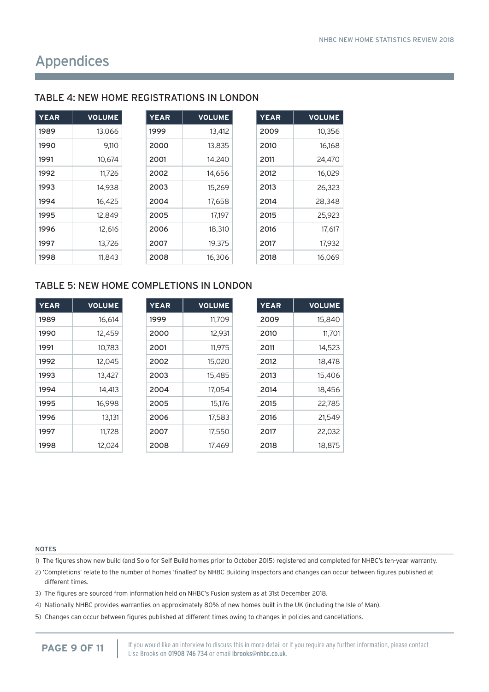| <b>YEAR</b> | <b>VOLUME</b> | <b>YEAR</b> | <b>VOLUME</b> | <b>YEAR</b> | <b>VOLUME</b> |
|-------------|---------------|-------------|---------------|-------------|---------------|
| 1989        | 13,066        | 1999        | 13,412        | 2009        | 10,356        |
| 1990        | 9,110         | 2000        | 13,835        | 2010        | 16,168        |
| 1991        | 10.674        | 2001        | 14,240        | 2011        | 24,470        |
| 1992        | 11,726        | 2002        | 14,656        | 2012        | 16,029        |
| 1993        | 14,938        | 2003        | 15,269        | 2013        | 26,323        |
| 1994        | 16,425        | 2004        | 17,658        | 2014        | 28,348        |
| 1995        | 12.849        | 2005        | 17.197        | 2015        | 25,923        |
| 1996        | 12,616        | 2006        | 18,310        | 2016        | 17,617        |
| 1997        | 13,726        | 2007        | 19,375        | 2017        | 17,932        |
| 1998        | 11,843        | 2008        | 16,306        | 2018        | 16,069        |

#### TABLE 4: NEW HOME REGISTRATIONS IN LONDON

#### TABLE 5: NEW HOME COMPLETIONS IN LONDON

| <b>YEAR</b> | <b>VOLUME</b> | <b>YEAR</b> | <b>VOLUME</b> | <b>YEA</b> |
|-------------|---------------|-------------|---------------|------------|
| 1989        | 16,614        | 1999        | 11,709        | 200        |
| 1990        | 12,459        | 2000        | 12,931        | 2010       |
| 1991        | 10,783        | 2001        | 11,975        | 2011       |
| 1992        | 12,045        | 2002        | 15,020        | 2012       |
| 1993        | 13,427        | 2003        | 15,485        | 2013       |
| 1994        | 14,413        | 2004        | 17,054        | 2014       |
| 1995        | 16,998        | 2005        | 15,176        | 2015       |
| 1996        | 13.131        | 2006        | 17,583        | 2016       |
| 1997        | 11,728        | 2007        | 17,550        | 2017       |
| 1998        | 12,024        | 2008        | 17,469        | 2018       |

| <b>YEAR</b> | <b>VOLUME</b> |
|-------------|---------------|
| 2009        | 15,840        |
| 2010        | 11.701        |
| 2011        | 14,523        |
| 2012        | 18,478        |
| 2013        | 15,406        |
| 2014        | 18,456        |
| 2015        | 22.785        |
| 2016        | 21,549        |
| 2017        | 22.032        |
| 2018        | 18,875        |

#### NOTES

1) The figures show new build (and Solo for Self Build homes prior to October 2015) registered and completed for NHBC's ten-year warranty.

- 2) 'Completions' relate to the number of homes 'finalled' by NHBC Building Inspectors and changes can occur between figures published at different times.
- 3) The figures are sourced from information held on NHBC's Fusion system as at 31st December 2018.
- 4) Nationally NHBC provides warranties on approximately 80% of new homes built in the UK (including the Isle of Man).
- 5) Changes can occur between figures published at different times owing to changes in policies and cancellations.

If you would like an interview to discuss this in more detail or if you require any further information, please contact **PAGE 9 OF 11 If you would like an interview to discuss this in more detail or** Lisa Brooks on 01908 746 734 or email **Ibrooks@nhbc.co.uk.**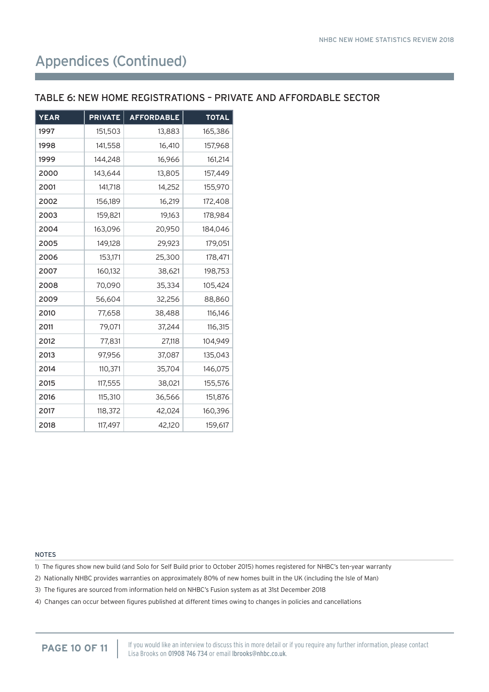### Appendices (Continued)

#### TABLE 6: NEW HOME REGISTRATIONS – PRIVATE AND AFFORDABLE SECTOR

| <b>YEAR</b> | <b>PRIVATE</b> | <b>AFFORDABLE</b> | <b>TOTAL</b> |
|-------------|----------------|-------------------|--------------|
| 1997        | 151,503        | 13,883            | 165,386      |
| 1998        | 141,558        | 16,410            | 157,968      |
| 1999        | 144,248        | 16,966            | 161,214      |
| 2000        | 143,644        | 13,805            | 157,449      |
| 2001        | 141,718        | 14,252            | 155,970      |
| 2002        | 156,189        | 16,219            | 172,408      |
| 2003        | 159,821        | 19,163            | 178,984      |
| 2004        | 163,096        | 20,950            | 184,046      |
| 2005        | 149,128        | 29,923            | 179,051      |
| 2006        | 153,171        | 25,300            | 178,471      |
| 2007        | 160,132        | 38,621            | 198,753      |
| 2008        | 70,090         | 35,334            | 105,424      |
| 2009        | 56,604         | 32,256            | 88,860       |
| 2010        | 77,658         | 38,488            | 116,146      |
| 2011        | 79,071         | 37,244            | 116,315      |
| 2012        | 77,831         | 27,118            | 104,949      |
| 2013        | 97,956         | 37,087            | 135,043      |
| 2014        | 110,371        | 35,704            | 146,075      |
| 2015        | 117,555        | 38,021            | 155,576      |
| 2016        | 115,310        | 36,566            | 151,876      |
| 2017        | 118,372        | 42,024            | 160,396      |
| 2018        | 117,497        | 42,120            | 159,617      |

#### NOTES

1) The figures show new build (and Solo for Self Build prior to October 2015) homes registered for NHBC's ten-year warranty

2) Nationally NHBC provides warranties on approximately 80% of new homes built in the UK (including the Isle of Man)

3) The figures are sourced from information held on NHBC's Fusion system as at 31st December 2018

4) Changes can occur between figures published at different times owing to changes in policies and cancellations